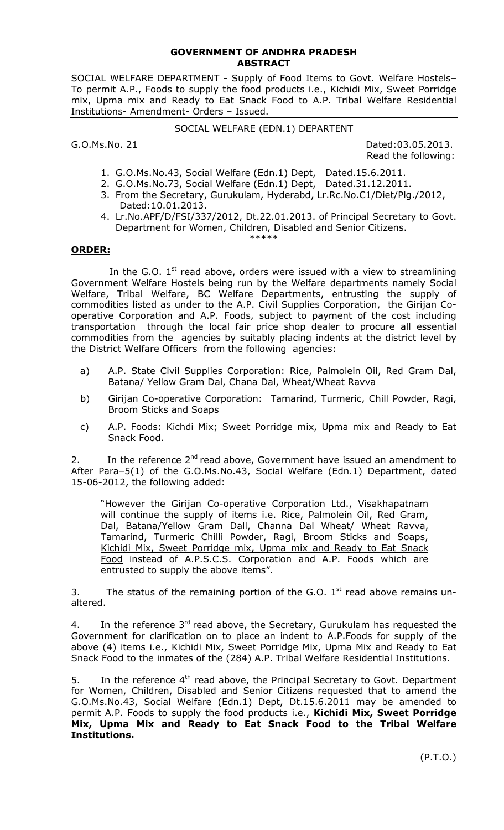## **GOVERNMENT OF ANDHRA PRADESH ABSTRACT**

SOCIAL WELFARE DEPARTMENT - Supply of Food Items to Govt. Welfare Hostels– To permit A.P., Foods to supply the food products i.e., Kichidi Mix, Sweet Porridge mix, Upma mix and Ready to Eat Snack Food to A.P. Tribal Welfare Residential Institutions- Amendment- Orders – Issued.

# SOCIAL WELFARE (EDN.1) DEPARTENT

G.O.Ms.No. 21 **Dated:03.05.2013.** Read the following:

- 1. G.O.Ms.No.43, Social Welfare (Edn.1) Dept, Dated.15.6.2011.
- 2. G.O.Ms.No.73, Social Welfare (Edn.1) Dept, Dated.31.12.2011.
- 3. From the Secretary, Gurukulam, Hyderabd, Lr.Rc.No.C1/Diet/Plg./2012, Dated:10.01.2013.
- 4. Lr.No.APF/D/FSI/337/2012, Dt.22.01.2013. of Principal Secretary to Govt. Department for Women, Children, Disabled and Senior Citizens. \*\*\*\*\*

#### **ORDER:**

In the G.O.  $1<sup>st</sup>$  read above, orders were issued with a view to streamlining Government Welfare Hostels being run by the Welfare departments namely Social Welfare, Tribal Welfare, BC Welfare Departments, entrusting the supply of commodities listed as under to the A.P. Civil Supplies Corporation, the Girijan Cooperative Corporation and A.P. Foods, subject to payment of the cost including transportation through the local fair price shop dealer to procure all essential commodities from the agencies by suitably placing indents at the district level by the District Welfare Officers from the following agencies:

- a) A.P. State Civil Supplies Corporation: Rice, Palmolein Oil, Red Gram Dal, Batana/ Yellow Gram Dal, Chana Dal, Wheat/Wheat Ravva
- b) Girijan Co-operative Corporation: Tamarind, Turmeric, Chill Powder, Ragi, Broom Sticks and Soaps
- c) A.P. Foods: Kichdi Mix; Sweet Porridge mix, Upma mix and Ready to Eat Snack Food.

2. In the reference  $2^{nd}$  read above, Government have issued an amendment to After Para–5(1) of the G.O.Ms.No.43, Social Welfare (Edn.1) Department, dated 15-06-2012, the following added:

"However the Girijan Co-operative Corporation Ltd., Visakhapatnam will continue the supply of items i.e. Rice, Palmolein Oil, Red Gram, Dal, Batana/Yellow Gram Dall, Channa Dal Wheat/ Wheat Ravva, Tamarind, Turmeric Chilli Powder, Ragi, Broom Sticks and Soaps, Kichidi Mix, Sweet Porridge mix, Upma mix and Ready to Eat Snack Food instead of A.P.S.C.S. Corporation and A.P. Foods which are entrusted to supply the above items".

3. The status of the remaining portion of the G.O.  $1<sup>st</sup>$  read above remains unaltered.

4. In the reference  $3<sup>rd</sup>$  read above, the Secretary, Gurukulam has requested the Government for clarification on to place an indent to A.P.Foods for supply of the above (4) items i.e., Kichidi Mix, Sweet Porridge Mix, Upma Mix and Ready to Eat Snack Food to the inmates of the (284) A.P. Tribal Welfare Residential Institutions.

5. In the reference  $4<sup>th</sup>$  read above, the Principal Secretary to Govt. Department for Women, Children, Disabled and Senior Citizens requested that to amend the G.O.Ms.No.43, Social Welfare (Edn.1) Dept, Dt.15.6.2011 may be amended to permit A.P. Foods to supply the food products i.e., **Kichidi Mix, Sweet Porridge Mix, Upma Mix and Ready to Eat Snack Food to the Tribal Welfare Institutions.**